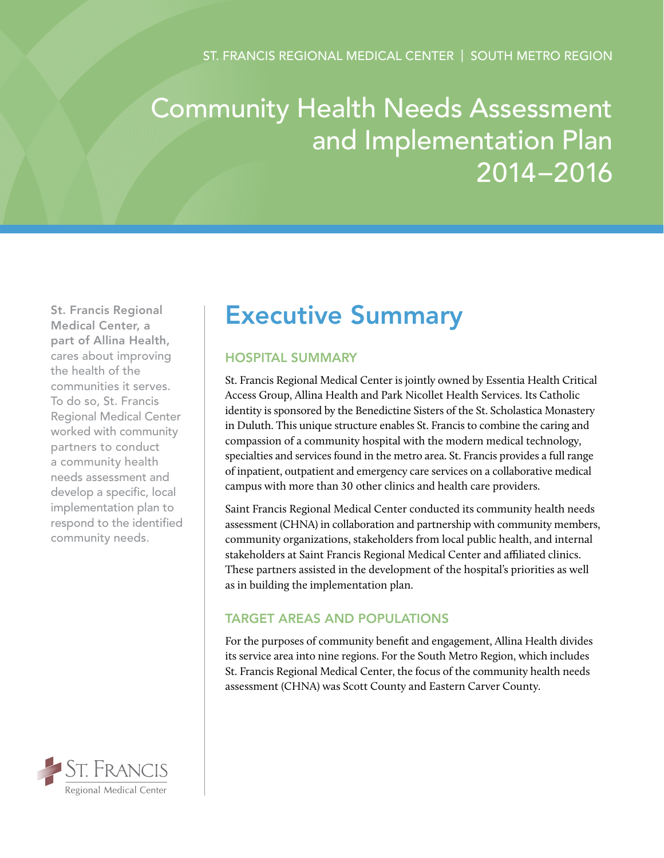# Community Health Needs Assessment and Implementation Plan 2014–2016

St. Francis Regional Medical Center, a part of Allina Health, cares about improving the health of the communities it serves. To do so, St. Francis Regional Medical Center worked with community partners to conduct a community health needs assessment and develop a specific, local implementation plan to respond to the identified community needs.

### ST. FRANCIS Regional Medical Center

## Executive Summary

#### Hospital Summary

St. Francis Regional Medical Center is jointly owned by Essentia Health Critical Access Group, Allina Health and Park Nicollet Health Services. Its Catholic identity is sponsored by the Benedictine Sisters of the St. Scholastica Monastery in Duluth. This unique structure enables St. Francis to combine the caring and compassion of a community hospital with the modern medical technology, specialties and services found in the metro area. St. Francis provides a full range of inpatient, outpatient and emergency care services on a collaborative medical campus with more than 30 other clinics and health care providers.

Saint Francis Regional Medical Center conducted its community health needs assessment (CHNA) in collaboration and partnership with community members, community organizations, stakeholders from local public health, and internal stakeholders at Saint Francis Regional Medical Center and affiliated clinics. These partners assisted in the development of the hospital's priorities as well as in building the implementation plan.

#### Target Areas and Populations

For the purposes of community benefit and engagement, Allina Health divides its service area into nine regions. For the South Metro Region, which includes St. Francis Regional Medical Center, the focus of the community health needs assessment (CHNA) was Scott County and Eastern Carver County.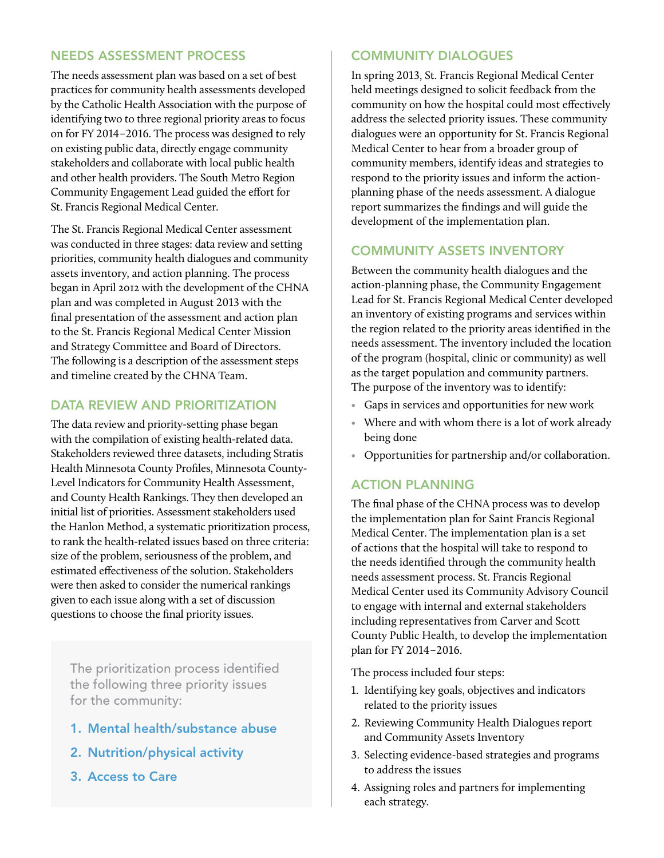#### Needs Assessment Process

The needs assessment plan was based on a set of best practices for community health assessments developed by the Catholic Health Association with the purpose of identifying two to three regional priority areas to focus on for FY 2014–2016. The process was designed to rely on existing public data, directly engage community stakeholders and collaborate with local public health and other health providers. The South Metro Region Community Engagement Lead guided the effort for St. Francis Regional Medical Center.

The St. Francis Regional Medical Center assessment was conducted in three stages: data review and setting priorities, community health dialogues and community assets inventory, and action planning. The process began in April 2012 with the development of the CHNA plan and was completed in August 2013 with the final presentation of the assessment and action plan to the St. Francis Regional Medical Center Mission and Strategy Committee and Board of Directors. The following is a description of the assessment steps and timeline created by the CHNA Team.

#### DATA REVIEW AND PRIORITIZATION

The data review and priority-setting phase began with the compilation of existing health-related data. Stakeholders reviewed three datasets, including Stratis Health Minnesota County Profiles, Minnesota County-Level Indicators for Community Health Assessment, and County Health Rankings. They then developed an initial list of priorities. Assessment stakeholders used the Hanlon Method, a systematic prioritization process, to rank the health-related issues based on three criteria: size of the problem, seriousness of the problem, and estimated effectiveness of the solution. Stakeholders were then asked to consider the numerical rankings given to each issue along with a set of discussion questions to choose the final priority issues.

The prioritization process identified the following three priority issues for the community:

- 1. Mental health/substance abuse
- 2. Nutrition/physical activity
- 3. Access to Care

#### Community Dialogues

In spring 2013, St. Francis Regional Medical Center held meetings designed to solicit feedback from the community on how the hospital could most effectively address the selected priority issues. These community dialogues were an opportunity for St. Francis Regional Medical Center to hear from a broader group of community members, identify ideas and strategies to respond to the priority issues and inform the actionplanning phase of the needs assessment. A dialogue report summarizes the findings and will guide the development of the implementation plan.

#### Community Assets Inventory

Between the community health dialogues and the action-planning phase, the Community Engagement Lead for St. Francis Regional Medical Center developed an inventory of existing programs and services within the region related to the priority areas identified in the needs assessment. The inventory included the location of the program (hospital, clinic or community) as well as the target population and community partners. The purpose of the inventory was to identify:

- Gaps in services and opportunities for new work
- Where and with whom there is a lot of work already being done
- Opportunities for partnership and/or collaboration.

#### Action Planning

The final phase of the CHNA process was to develop the implementation plan for Saint Francis Regional Medical Center. The implementation plan is a set of actions that the hospital will take to respond to the needs identified through the community health needs assessment process. St. Francis Regional Medical Center used its Community Advisory Council to engage with internal and external stakeholders including representatives from Carver and Scott County Public Health, to develop the implementation plan for FY 2014–2016.

The process included four steps:

- 1. Identifying key goals, objectives and indicators related to the priority issues
- 2. Reviewing Community Health Dialogues report and Community Assets Inventory
- 3. Selecting evidence-based strategies and programs to address the issues
- 4. Assigning roles and partners for implementing each strategy.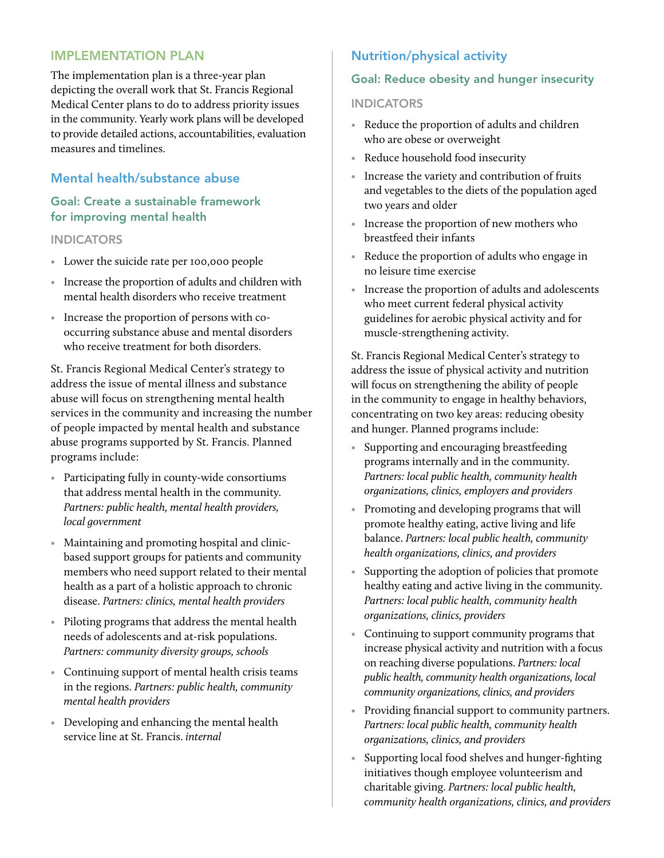#### Implementation Plan

The implementation plan is a three-year plan depicting the overall work that St. Francis Regional Medical Center plans to do to address priority issues in the community. Yearly work plans will be developed to provide detailed actions, accountabilities, evaluation measures and timelines.

#### Mental health/substance abuse

#### Goal: Create a sustainable framework for improving mental health

#### **INDICATORS**

- Lower the suicide rate per 100,000 people
- Increase the proportion of adults and children with mental health disorders who receive treatment
- Increase the proportion of persons with cooccurring substance abuse and mental disorders who receive treatment for both disorders.

St. Francis Regional Medical Center's strategy to address the issue of mental illness and substance abuse will focus on strengthening mental health services in the community and increasing the number of people impacted by mental health and substance abuse programs supported by St. Francis. Planned programs include:

- Participating fully in county-wide consortiums that address mental health in the community. *Partners: public health, mental health providers, local government*
- Maintaining and promoting hospital and clinicbased support groups for patients and community members who need support related to their mental health as a part of a holistic approach to chronic disease. *Partners: clinics, mental health providers*
- Piloting programs that address the mental health needs of adolescents and at-risk populations. *Partners: community diversity groups, schools*
- Continuing support of mental health crisis teams in the regions. *Partners: public health, community mental health providers*
- Developing and enhancing the mental health service line at St. Francis. *internal*

#### Nutrition/physical activity

#### Goal: Reduce obesity and hunger insecurity

#### **INDICATORS**

- Reduce the proportion of adults and children who are obese or overweight
- Reduce household food insecurity
- Increase the variety and contribution of fruits and vegetables to the diets of the population aged two years and older
- Increase the proportion of new mothers who breastfeed their infants
- Reduce the proportion of adults who engage in no leisure time exercise
- Increase the proportion of adults and adolescents who meet current federal physical activity guidelines for aerobic physical activity and for muscle-strengthening activity.

St. Francis Regional Medical Center's strategy to address the issue of physical activity and nutrition will focus on strengthening the ability of people in the community to engage in healthy behaviors, concentrating on two key areas: reducing obesity and hunger. Planned programs include:

- Supporting and encouraging breastfeeding programs internally and in the community. *Partners: local public health, community health organizations, clinics, employers and providers*
- Promoting and developing programs that will promote healthy eating, active living and life balance. *Partners: local public health, community health organizations, clinics, and providers*
- Supporting the adoption of policies that promote healthy eating and active living in the community. *Partners: local public health, community health organizations, clinics, providers*
- Continuing to support community programs that increase physical activity and nutrition with a focus on reaching diverse populations. *Partners: local public health, community health organizations, local community organizations, clinics, and providers*
- Providing financial support to community partners. *Partners: local public health, community health organizations, clinics, and providers*
- Supporting local food shelves and hunger-fighting initiatives though employee volunteerism and charitable giving. *Partners: local public health, community health organizations, clinics, and providers*